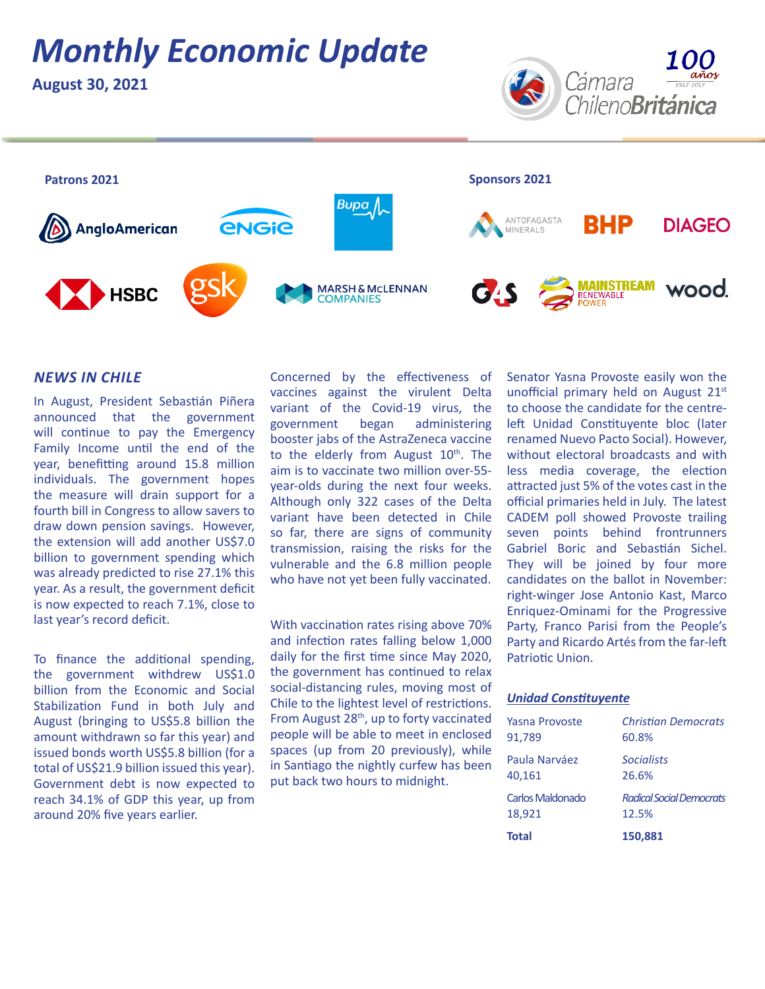# *Monthly Economic Update*

**August 30, 2021**





### *NEWS IN CHILE*

In August, President Sebastián Piñera announced that the government will continue to pay the Emergency Family Income until the end of the year, benefitting around 15.8 million individuals. The government hopes the measure will drain support for a fourth bill in Congress to allow savers to draw down pension savings. However, the extension will add another US\$7.0 billion to government spending which was already predicted to rise 27.1% this year. As a result, the government deficit is now expected to reach 7.1%, close to last year's record deficit.

To finance the additional spending, the government withdrew US\$1.0 billion from the Economic and Social Stabilization Fund in both July and August (bringing to US\$5.8 billion the amount withdrawn so far this year) and issued bonds worth US\$5.8 billion (for a total of US\$21.9 billion issued this year). Government debt is now expected to reach 34.1% of GDP this year, up from around 20% five years earlier.

Concerned by the effectiveness of vaccines against the virulent Delta variant of the Covid-19 virus, the government began administering booster jabs of the AstraZeneca vaccine to the elderly from August  $10<sup>th</sup>$ . The aim is to vaccinate two million over-55 year-olds during the next four weeks. Although only 322 cases of the Delta variant have been detected in Chile so far, there are signs of community transmission, raising the risks for the vulnerable and the 6.8 million people who have not yet been fully vaccinated.

With vaccination rates rising above 70% and infection rates falling below 1,000 daily for the first time since May 2020, the government has continued to relax social-distancing rules, moving most of Chile to the lightest level of restrictions. From August 28<sup>th</sup>, up to forty vaccinated people will be able to meet in enclosed spaces (up from 20 previously), while in Santiago the nightly curfew has been put back two hours to midnight.

Senator Yasna Provoste easily won the unofficial primary held on August 21st to choose the candidate for the centreleft Unidad Constituyente bloc (later renamed Nuevo Pacto Social). However, without electoral broadcasts and with less media coverage, the election attracted just 5% of the votes cast in the official primaries held in July. The latest CADEM poll showed Provoste trailing seven points behind frontrunners Gabriel Boric and Sebastián Sichel. They will be joined by four more candidates on the ballot in November: right-winger Jose Antonio Kast, Marco Enriquez-Ominami for the Progressive Party, Franco Parisi from the People's Party and Ricardo Artés from the far-left Patriotic Union.

### *Unidad Constituyente*

| 18,921           | 12.5%                      |
|------------------|----------------------------|
| <b>Total</b>     | 150,881                    |
| Carlos Maldonado | Radical Social Democrats   |
| Paula Narváez    | <b>Socialists</b>          |
| 40,161           | 26.6%                      |
| Yasna Provoste   | <b>Christian Democrats</b> |
| 91,789           | 60.8%                      |